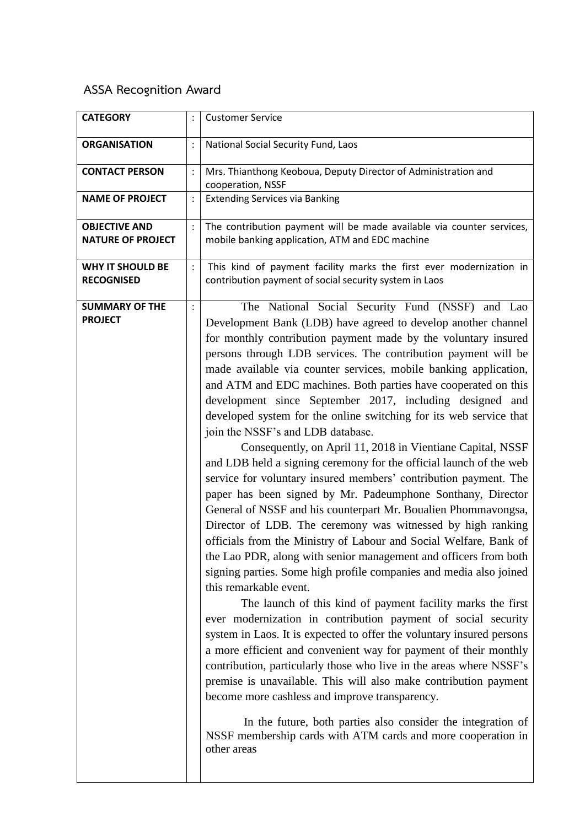## **ASSA Recognition Award**

| <b>CATEGORY</b>                                  |                | <b>Customer Service</b>                                                                                                                                                                                                                                                                                                                                                                                                                                                                                                                                                                                                                                                                                                                                                                                                                                                                                                                                                                                                                                                                                                                                                                                                                                                                                                                                                                                                                                                                                                                                                                                                                                                                                                                                                                                                                      |
|--------------------------------------------------|----------------|----------------------------------------------------------------------------------------------------------------------------------------------------------------------------------------------------------------------------------------------------------------------------------------------------------------------------------------------------------------------------------------------------------------------------------------------------------------------------------------------------------------------------------------------------------------------------------------------------------------------------------------------------------------------------------------------------------------------------------------------------------------------------------------------------------------------------------------------------------------------------------------------------------------------------------------------------------------------------------------------------------------------------------------------------------------------------------------------------------------------------------------------------------------------------------------------------------------------------------------------------------------------------------------------------------------------------------------------------------------------------------------------------------------------------------------------------------------------------------------------------------------------------------------------------------------------------------------------------------------------------------------------------------------------------------------------------------------------------------------------------------------------------------------------------------------------------------------------|
| <b>ORGANISATION</b>                              |                | National Social Security Fund, Laos                                                                                                                                                                                                                                                                                                                                                                                                                                                                                                                                                                                                                                                                                                                                                                                                                                                                                                                                                                                                                                                                                                                                                                                                                                                                                                                                                                                                                                                                                                                                                                                                                                                                                                                                                                                                          |
| <b>CONTACT PERSON</b>                            | $\ddot{\cdot}$ | Mrs. Thianthong Keoboua, Deputy Director of Administration and<br>cooperation, NSSF                                                                                                                                                                                                                                                                                                                                                                                                                                                                                                                                                                                                                                                                                                                                                                                                                                                                                                                                                                                                                                                                                                                                                                                                                                                                                                                                                                                                                                                                                                                                                                                                                                                                                                                                                          |
| <b>NAME OF PROJECT</b>                           | $\ddot{\cdot}$ | <b>Extending Services via Banking</b>                                                                                                                                                                                                                                                                                                                                                                                                                                                                                                                                                                                                                                                                                                                                                                                                                                                                                                                                                                                                                                                                                                                                                                                                                                                                                                                                                                                                                                                                                                                                                                                                                                                                                                                                                                                                        |
| <b>OBJECTIVE AND</b><br><b>NATURE OF PROJECT</b> |                | The contribution payment will be made available via counter services,<br>mobile banking application, ATM and EDC machine                                                                                                                                                                                                                                                                                                                                                                                                                                                                                                                                                                                                                                                                                                                                                                                                                                                                                                                                                                                                                                                                                                                                                                                                                                                                                                                                                                                                                                                                                                                                                                                                                                                                                                                     |
| <b>WHY IT SHOULD BE</b><br><b>RECOGNISED</b>     | $\ddot{\cdot}$ | This kind of payment facility marks the first ever modernization in<br>contribution payment of social security system in Laos                                                                                                                                                                                                                                                                                                                                                                                                                                                                                                                                                                                                                                                                                                                                                                                                                                                                                                                                                                                                                                                                                                                                                                                                                                                                                                                                                                                                                                                                                                                                                                                                                                                                                                                |
| <b>SUMMARY OF THE</b><br><b>PROJECT</b>          | $\ddot{\cdot}$ | The National Social Security Fund (NSSF) and Lao<br>Development Bank (LDB) have agreed to develop another channel<br>for monthly contribution payment made by the voluntary insured<br>persons through LDB services. The contribution payment will be<br>made available via counter services, mobile banking application,<br>and ATM and EDC machines. Both parties have cooperated on this<br>development since September 2017, including designed and<br>developed system for the online switching for its web service that<br>join the NSSF's and LDB database.<br>Consequently, on April 11, 2018 in Vientiane Capital, NSSF<br>and LDB held a signing ceremony for the official launch of the web<br>service for voluntary insured members' contribution payment. The<br>paper has been signed by Mr. Padeumphone Sonthany, Director<br>General of NSSF and his counterpart Mr. Boualien Phommavongsa,<br>Director of LDB. The ceremony was witnessed by high ranking<br>officials from the Ministry of Labour and Social Welfare, Bank of<br>the Lao PDR, along with senior management and officers from both<br>signing parties. Some high profile companies and media also joined<br>this remarkable event.<br>The launch of this kind of payment facility marks the first<br>ever modernization in contribution payment of social security<br>system in Laos. It is expected to offer the voluntary insured persons<br>a more efficient and convenient way for payment of their monthly<br>contribution, particularly those who live in the areas where NSSF's<br>premise is unavailable. This will also make contribution payment<br>become more cashless and improve transparency.<br>In the future, both parties also consider the integration of<br>NSSF membership cards with ATM cards and more cooperation in<br>other areas |